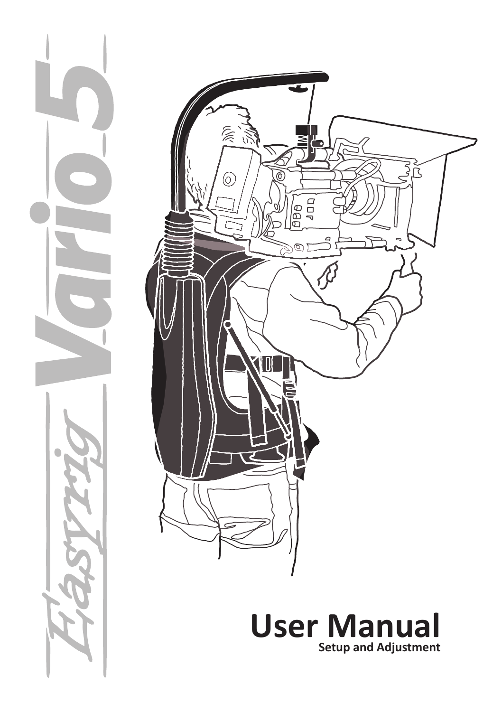



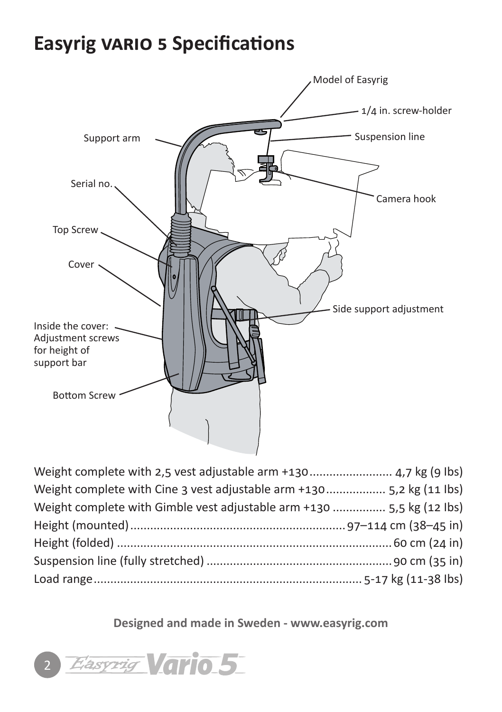## **Easyrig vario 5 Specifications**



| Weight complete with Cine 3 vest adjustable arm +130 5,2 kg (11 lbs)  |  |
|-----------------------------------------------------------------------|--|
| Weight complete with Gimble vest adjustable arm +130  5,5 kg (12 lbs) |  |
|                                                                       |  |
|                                                                       |  |
|                                                                       |  |
|                                                                       |  |
|                                                                       |  |

**Designed and made in Sweden - www.easyrig.com**

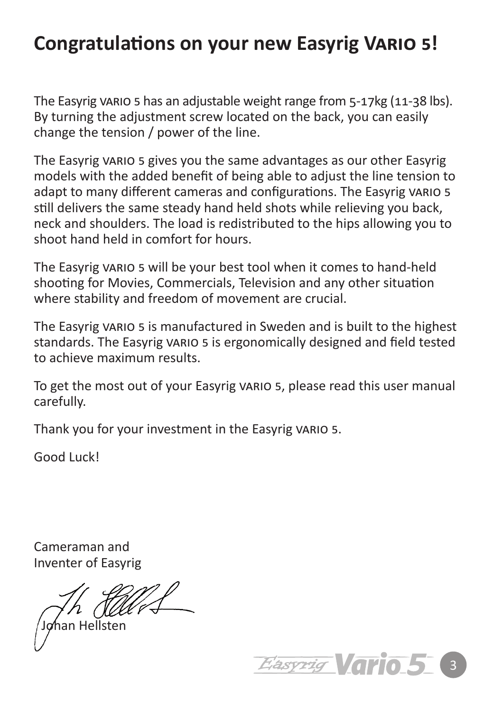## **Congratulations on your new Easyrig Vario 5!**

The Easyrig vario 5 has an adjustable weight range from 5-17kg (11-38 lbs). By turning the adjustment screw located on the back, you can easily change the tension / power of the line.

The Easyrig vario 5 gives you the same advantages as our other Easyrig models with the added benefit of being able to adjust the line tension to adapt to many different cameras and configurations. The Easyrig VARIO 5 still delivers the same steady hand held shots while relieving you back, neck and shoulders. The load is redistributed to the hips allowing you to shoot hand held in comfort for hours.

The Easyrig vario 5 will be your best tool when it comes to hand-held shooting for Movies, Commercials, Television and any other situation where stability and freedom of movement are crucial.

The Easyrig vario 5 is manufactured in Sweden and is built to the highest standards. The Easyrig VARIO 5 is ergonomically designed and field tested to achieve maximum results.

To get the most out of your Easyrig vario 5, please read this user manual carefully.

Thank you for your investment in the Easyrig vario 5.

Good Luck!

Cameraman and Inventer of Easyrig

han Hellsten

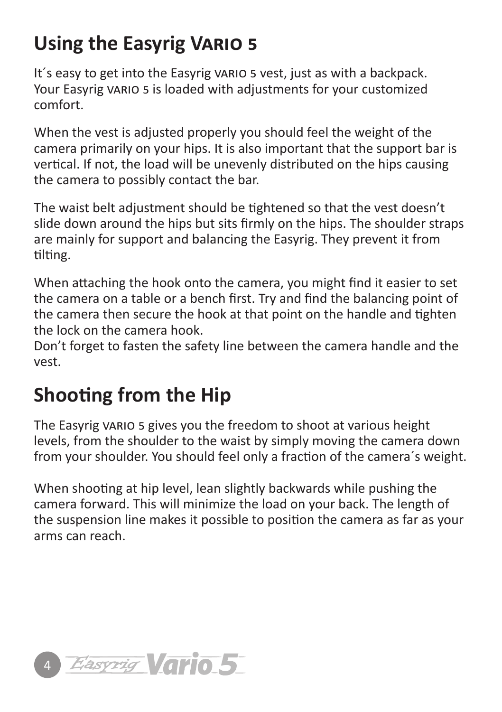# **Using the Easyrig Vario 5**

It's easy to get into the Easyrig vario 5 vest, just as with a backpack. Your Easyrig vario 5 is loaded with adjustments for your customized comfort.

When the vest is adjusted properly you should feel the weight of the camera primarily on your hips. It is also important that the support bar is vertical. If not, the load will be unevenly distributed on the hips causing the camera to possibly contact the bar.

The waist belt adjustment should be tightened so that the vest doesn't slide down around the hips but sits firmly on the hips. The shoulder straps are mainly for support and balancing the Easyrig. They prevent it from tilting.

When attaching the hook onto the camera, you might find it easier to set the camera on a table or a bench first. Try and find the balancing point of the camera then secure the hook at that point on the handle and tighten the lock on the camera hook.

Don't forget to fasten the safety line between the camera handle and the vest.

# **Shooting from the Hip**

The Easyrig vario 5 gives you the freedom to shoot at various height levels, from the shoulder to the waist by simply moving the camera down from your shoulder. You should feel only a fraction of the camera´s weight.

When shooting at hip level, lean slightly backwards while pushing the camera forward. This will minimize the load on your back. The length of the suspension line makes it possible to position the camera as far as your arms can reach.

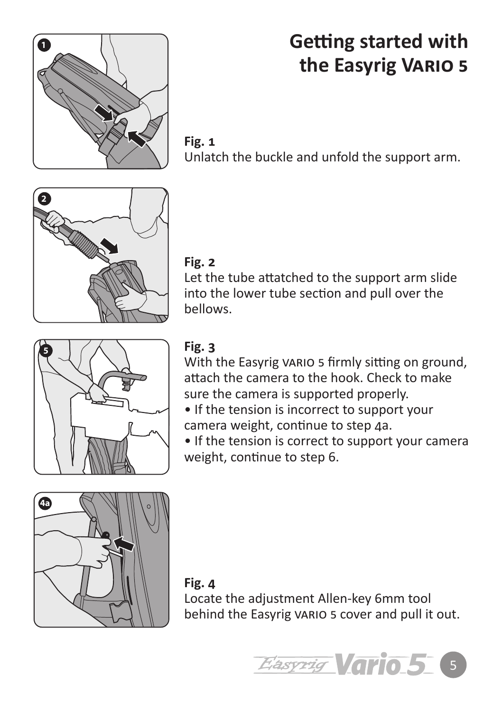

## **Getting started with the Easyrig Vario 5**

**Fig. 1** Unlatch the buckle and unfold the support arm.

#### **Fig. 2**

Let the tube attatched to the support arm slide into the lower tube section and pull over the bellows.



#### **Fig. 3**

With the Easyrig vario 5 firmly sitting on ground, attach the camera to the hook. Check to make sure the camera is supported properly.

• If the tension is incorrect to support your camera weight, continue to step 4a.

• If the tension is correct to support your camera weight, continue to step 6.



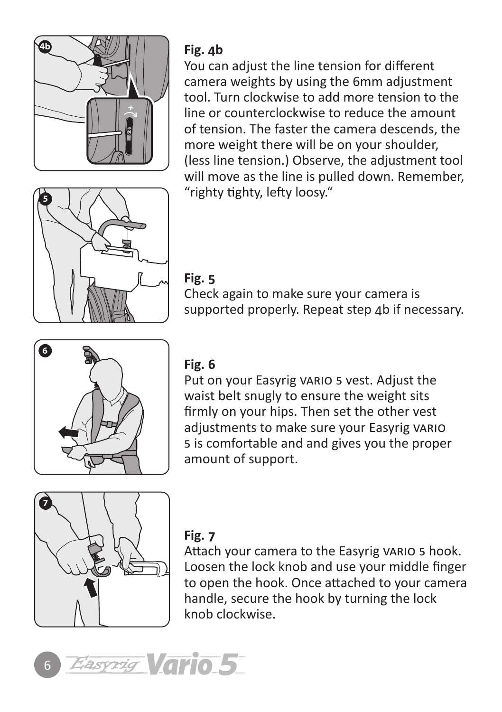

#### **Fig. 4b**

You can adjust the line tension for different camera weights by using the 6mm adjustment tool. Turn clockwise to add more tension to the line or counterclockwise to reduce the amount of tension. The faster the camera descends, the more weight there will be on your shoulder, (less line tension.) Observe, the adjustment tool will move as the line is pulled down. Remember, "righty tighty, lefty loosy."



#### **Fig. 5**

Check again to make sure your camera is supported properly. Repeat step 4b if necessary.



#### **Fig. 6**

Put on your Easyrig vario 5 vest. Adjust the waist belt snugly to ensure the weight sits firmly on your hips. Then set the other vest adjustments to make sure your Easyrig vario 5 is comfortable and and gives you the proper amount of support.



#### **Fig. 7**

Attach your camera to the Easyrig VARIO 5 hook. Loosen the lock knob and use your middle finger to open the hook. Once attached to your camera handle, secure the hook by turning the lock knob clockwise.

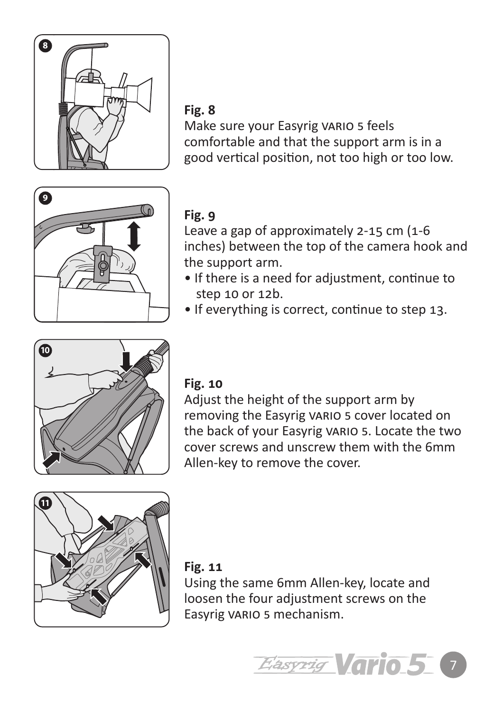

#### **Fig. 8**

Make sure your Easyrig VARIO 5 feels comfortable and that the support arm is in a good vertical position, not too high or too low.



### **Fig. 9**

Leave a gap of approximately 2-15 cm (1-6 inches) between the top of the camera hook and the support arm.

- If there is a need for adjustment, continue to step 10 or 12b.
- If everything is correct, continue to step 13.



#### **Fig. 10**

Adjust the height of the support arm by removing the Easyrig VARIO 5 cover located on the back of your Easyrig vario 5. Locate the two cover screws and unscrew them with the 6mm Allen-key to remove the cover.



#### **Fig. 11**

Using the same 6mm Allen-key, locate and loosen the four adjustment screws on the Easyrig vario 5 mechanism.

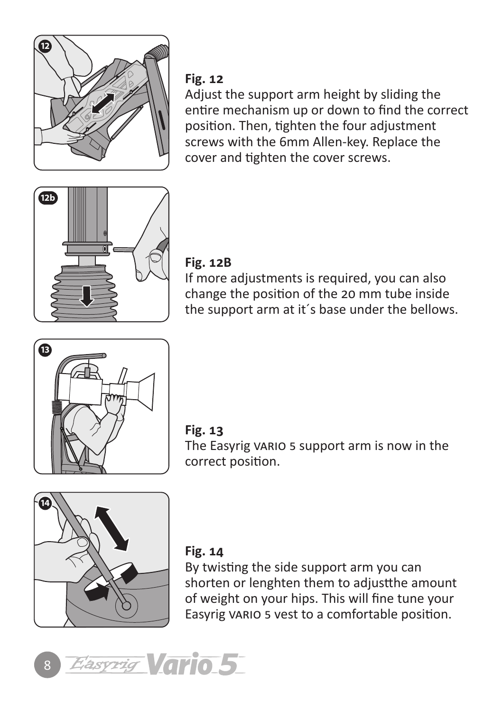

#### **Fig. 12**

Adjust the support arm height by sliding the entire mechanism up or down to find the correct position. Then, tighten the four adjustment screws with the 6mm Allen-key. Replace the cover and tighten the cover screws.



#### **Fig. 12B**

If more adjustments is required, you can also change the position of the 20 mm tube inside the support arm at it´s base under the bellows.





The Easyrig VARIO 5 support arm is now in the correct position.



#### **Fig. 14**

By twisting the side support arm you can shorten or lenghten them to adjustthe amount of weight on your hips. This will fine tune your Easyrig vario 5 vest to a comfortable position.

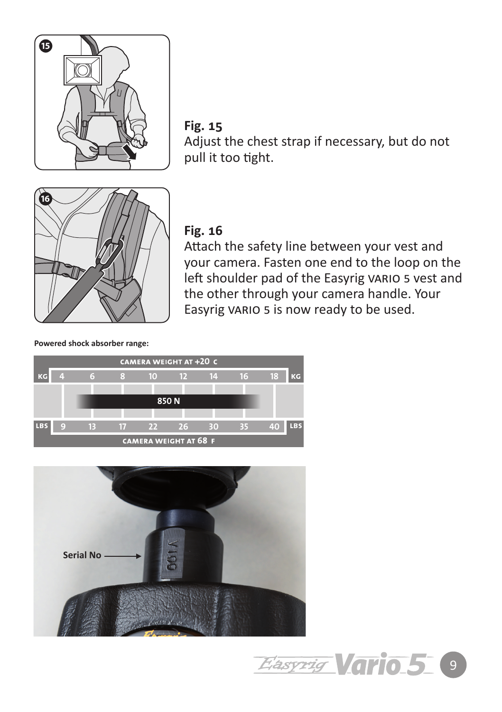

**Fig. 15** Adjust the chest strap if necessary, but do not pull it too tight.



#### **Fig. 16**

Attach the safety line between your vest and your camera. Fasten one end to the loop on the left shoulder pad of the Easyrig VARIO 5 vest and the other through your camera handle. Your Easyrig vario 5 is now ready to be used.

#### **Powered shock absorber range:**





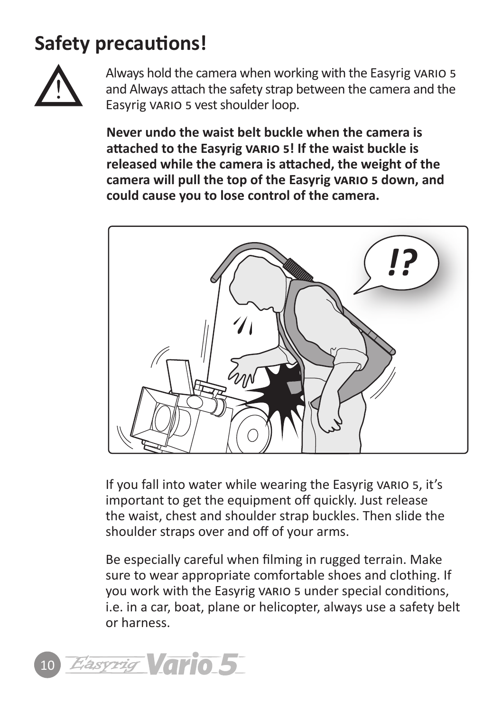## **Safety precautions!**



Always hold the camera when working with the Easyrig vario 5 and Always attach the safety strap between the camera and the Easyrig vario 5 vest shoulder loop.

**Never undo the waist belt buckle when the camera is attached to the Easyrig vario 5! If the waist buckle is released while the camera is attached, the weight of the camera will pull the top of the Easyrig vario 5 down, and could cause you to lose control of the camera.** 



If you fall into water while wearing the Easyrig VARIO 5, it's important to get the equipment off quickly. Just release the waist, chest and shoulder strap buckles. Then slide the shoulder straps over and off of your arms.

Be especially careful when filming in rugged terrain. Make sure to wear appropriate comfortable shoes and clothing. If you work with the Easyrig vario 5 under special conditions, i.e. in a car, boat, plane or helicopter, always use a safety belt or harness.

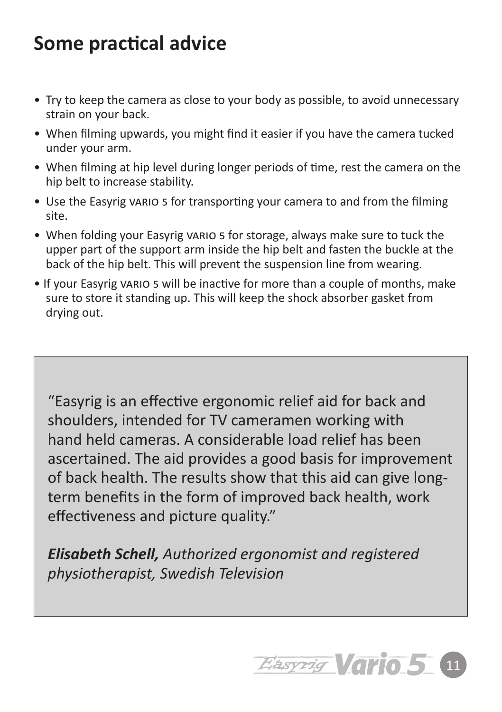## **Some practical advice**

- Try to keep the camera as close to your body as possible, to avoid unnecessary strain on your back.
- When filming upwards, you might find it easier if you have the camera tucked under your arm.
- When filming at hip level during longer periods of time, rest the camera on the hip belt to increase stability.
- Use the Easyrig vario 5 for transporting your camera to and from the filming site.
- When folding your Easyrig vario 5 for storage, always make sure to tuck the upper part of the support arm inside the hip belt and fasten the buckle at the back of the hip belt. This will prevent the suspension line from wearing.
- If your Easyrig vario 5 will be inactive for more than a couple of months, make sure to store it standing up. This will keep the shock absorber gasket from drying out.

"Easyrig is an effective ergonomic relief aid for back and shoulders, intended for TV cameramen working with hand held cameras. A considerable load relief has been ascertained. The aid provides a good basis for improvement of back health. The results show that this aid can give longterm benefits in the form of improved back health, work effectiveness and picture quality."

*Elisabeth Schell, Authorized ergonomist and registered physiotherapist, Swedish Television*

11